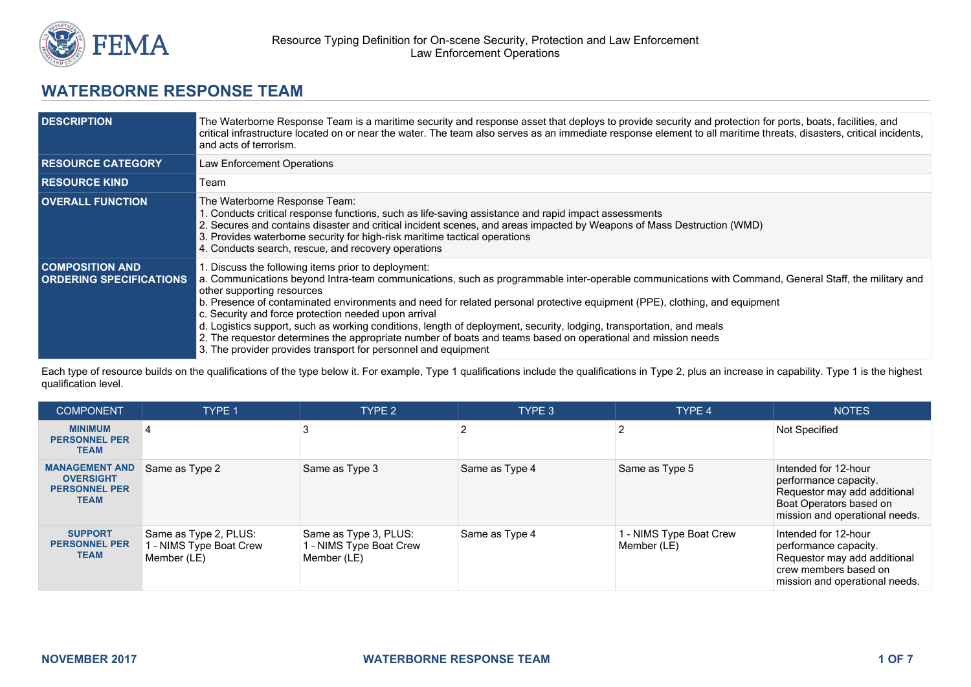

# **WATERBORNE RESPONSE TEAM**

| <b>DESCRIPTION</b>                                       | The Waterborne Response Team is a maritime security and response asset that deploys to provide security and protection for ports, boats, facilities, and<br>critical infrastructure located on or near the water. The team also serves as an immediate response element to all maritime threats, disasters, critical incidents,<br>and acts of terrorism.                                                                                                                                                                                                                                                                                                                                                                                 |
|----------------------------------------------------------|-------------------------------------------------------------------------------------------------------------------------------------------------------------------------------------------------------------------------------------------------------------------------------------------------------------------------------------------------------------------------------------------------------------------------------------------------------------------------------------------------------------------------------------------------------------------------------------------------------------------------------------------------------------------------------------------------------------------------------------------|
| <b>RESOURCE CATEGORY</b>                                 | Law Enforcement Operations                                                                                                                                                                                                                                                                                                                                                                                                                                                                                                                                                                                                                                                                                                                |
| <b>RESOURCE KIND</b>                                     | Team                                                                                                                                                                                                                                                                                                                                                                                                                                                                                                                                                                                                                                                                                                                                      |
| <b>OVERALL FUNCTION</b>                                  | The Waterborne Response Team:<br>1. Conducts critical response functions, such as life-saving assistance and rapid impact assessments<br>2. Secures and contains disaster and critical incident scenes, and areas impacted by Weapons of Mass Destruction (WMD)<br>3. Provides waterborne security for high-risk maritime tactical operations<br>4. Conducts search, rescue, and recovery operations                                                                                                                                                                                                                                                                                                                                      |
| <b>COMPOSITION AND</b><br><b>ORDERING SPECIFICATIONS</b> | 1. Discuss the following items prior to deployment:<br>a. Communications beyond Intra-team communications, such as programmable inter-operable communications with Command, General Staff, the military and<br>other supporting resources<br>b. Presence of contaminated environments and need for related personal protective equipment (PPE), clothing, and equipment<br>c. Security and force protection needed upon arrival<br>d. Logistics support, such as working conditions, length of deployment, security, lodging, transportation, and meals<br>2. The requestor determines the appropriate number of boats and teams based on operational and mission needs<br>3. The provider provides transport for personnel and equipment |

Each type of resource builds on the qualifications of the type below it. For example, Type 1 qualifications include the qualifications in Type 2, plus an increase in capability. Type 1 is the highest qualification level.

| <b>COMPONENT</b>                                                          | <b>TYPE 1</b>                                                   | TYPE 2                                                          | TYPE 3         | TYPE 4                                 | <b>NOTES</b>                                                                                                                               |
|---------------------------------------------------------------------------|-----------------------------------------------------------------|-----------------------------------------------------------------|----------------|----------------------------------------|--------------------------------------------------------------------------------------------------------------------------------------------|
| <b>MINIMUM</b><br><b>PERSONNEL PER</b><br>TEAM                            | 4                                                               |                                                                 |                |                                        | <b>Not Specified</b>                                                                                                                       |
| <b>MANAGEMENT AND</b><br><b>OVERSIGHT</b><br><b>PERSONNEL PER</b><br>TEAM | Same as Type 2                                                  | Same as Type 3                                                  | Same as Type 4 | Same as Type 5                         | Intended for 12-hour<br>performance capacity.<br>Requestor may add additional<br>Boat Operators based on<br>mission and operational needs. |
| <b>SUPPORT</b><br><b>PERSONNEL PER</b><br>TEAM                            | Same as Type 2, PLUS:<br>1 - NIMS Type Boat Crew<br>Member (LE) | Same as Type 3, PLUS:<br>1 - NIMS Type Boat Crew<br>Member (LE) | Same as Type 4 | 1 - NIMS Type Boat Crew<br>Member (LE) | Intended for 12-hour<br>performance capacity.<br>Requestor may add additional<br>crew members based on<br>mission and operational needs.   |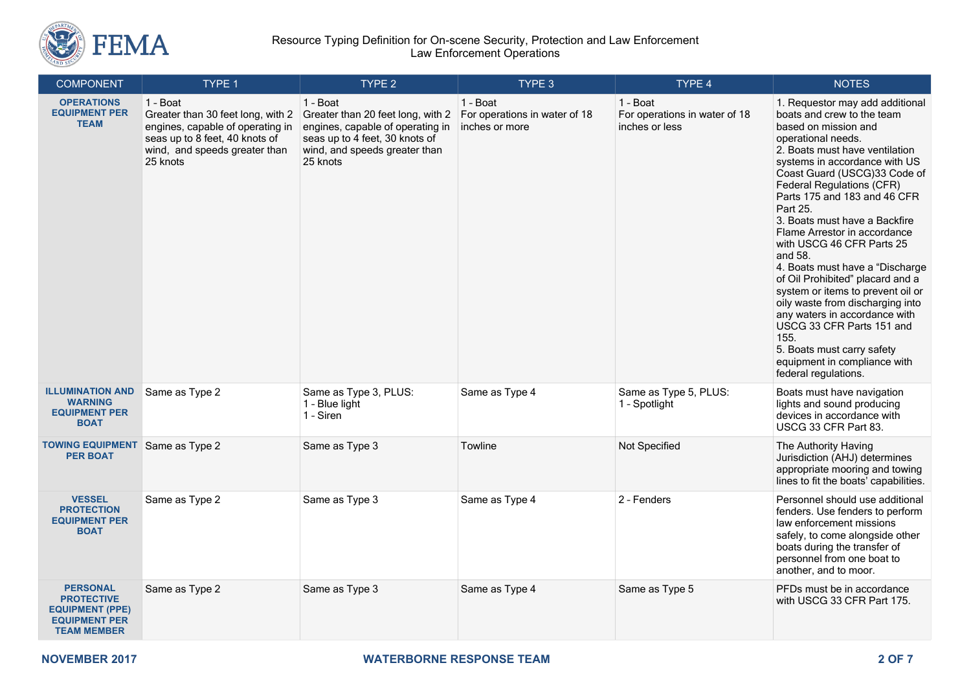

### Resource Typing Definition for On-scene Security, Protection and Law Enforcement Law Enforcement Operations

| <b>COMPONENT</b>                                                                                             | TYPE 1                                                                                                                                                           | TYPE 2                                                                                                                                                           | TYPE 3                                                      | TYPE 4                                                      | <b>NOTES</b>                                                                                                                                                                                                                                                                                                                                                                                                                                                                                                                                                                                                                                                                                                 |
|--------------------------------------------------------------------------------------------------------------|------------------------------------------------------------------------------------------------------------------------------------------------------------------|------------------------------------------------------------------------------------------------------------------------------------------------------------------|-------------------------------------------------------------|-------------------------------------------------------------|--------------------------------------------------------------------------------------------------------------------------------------------------------------------------------------------------------------------------------------------------------------------------------------------------------------------------------------------------------------------------------------------------------------------------------------------------------------------------------------------------------------------------------------------------------------------------------------------------------------------------------------------------------------------------------------------------------------|
| <b>OPERATIONS</b><br><b>EQUIPMENT PER</b><br><b>TEAM</b>                                                     | 1 - Boat<br>Greater than 30 feet long, with 2<br>engines, capable of operating in<br>seas up to 8 feet, 40 knots of<br>wind, and speeds greater than<br>25 knots | 1 - Boat<br>Greater than 20 feet long, with 2<br>engines, capable of operating in<br>seas up to 4 feet, 30 knots of<br>wind, and speeds greater than<br>25 knots | 1 - Boat<br>For operations in water of 18<br>inches or more | 1 - Boat<br>For operations in water of 18<br>inches or less | 1. Requestor may add additional<br>boats and crew to the team<br>based on mission and<br>operational needs.<br>2. Boats must have ventilation<br>systems in accordance with US<br>Coast Guard (USCG)33 Code of<br>Federal Regulations (CFR)<br>Parts 175 and 183 and 46 CFR<br>Part 25.<br>3. Boats must have a Backfire<br>Flame Arrestor in accordance<br>with USCG 46 CFR Parts 25<br>and 58.<br>4. Boats must have a "Discharge<br>of Oil Prohibited" placard and a<br>system or items to prevent oil or<br>oily waste from discharging into<br>any waters in accordance with<br>USCG 33 CFR Parts 151 and<br>155.<br>5. Boats must carry safety<br>equipment in compliance with<br>federal regulations. |
| <b>ILLUMINATION AND</b><br><b>WARNING</b><br><b>EQUIPMENT PER</b><br><b>BOAT</b>                             | Same as Type 2                                                                                                                                                   | Same as Type 3, PLUS:<br>1 - Blue light<br>1 - Siren                                                                                                             | Same as Type 4                                              | Same as Type 5, PLUS:<br>1 - Spotlight                      | Boats must have navigation<br>lights and sound producing<br>devices in accordance with<br>USCG 33 CFR Part 83.                                                                                                                                                                                                                                                                                                                                                                                                                                                                                                                                                                                               |
| <b>TOWING EQUIPMENT</b> Same as Type 2<br><b>PER BOAT</b>                                                    |                                                                                                                                                                  | Same as Type 3                                                                                                                                                   | Towline                                                     | Not Specified                                               | The Authority Having<br>Jurisdiction (AHJ) determines<br>appropriate mooring and towing<br>lines to fit the boats' capabilities.                                                                                                                                                                                                                                                                                                                                                                                                                                                                                                                                                                             |
| <b>VESSEL</b><br><b>PROTECTION</b><br><b>EQUIPMENT PER</b><br><b>BOAT</b>                                    | Same as Type 2                                                                                                                                                   | Same as Type 3                                                                                                                                                   | Same as Type 4                                              | 2 - Fenders                                                 | Personnel should use additional<br>fenders. Use fenders to perform<br>law enforcement missions<br>safely, to come alongside other<br>boats during the transfer of<br>personnel from one boat to<br>another, and to moor.                                                                                                                                                                                                                                                                                                                                                                                                                                                                                     |
| <b>PERSONAL</b><br><b>PROTECTIVE</b><br><b>EQUIPMENT (PPE)</b><br><b>EQUIPMENT PER</b><br><b>TEAM MEMBER</b> | Same as Type 2                                                                                                                                                   | Same as Type 3                                                                                                                                                   | Same as Type 4                                              | Same as Type 5                                              | PFDs must be in accordance<br>with USCG 33 CFR Part 175.                                                                                                                                                                                                                                                                                                                                                                                                                                                                                                                                                                                                                                                     |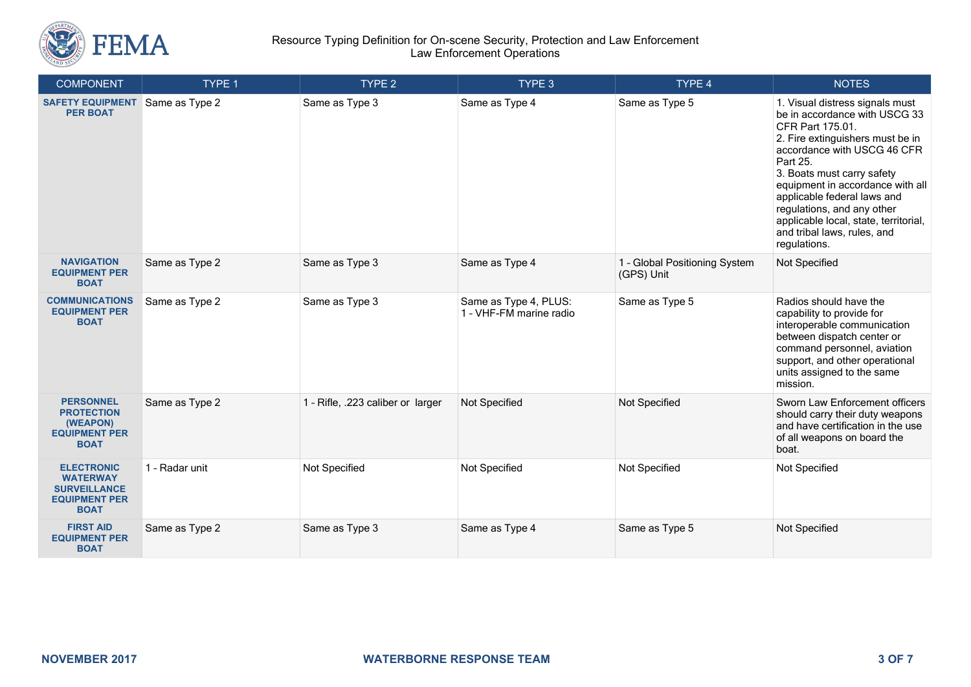

### Resource Typing Definition for On-scene Security, Protection and Law Enforcement Law Enforcement Operations

| <b>COMPONENT</b>                                                                                   | TYPE 1         | TYPE <sub>2</sub>                 | TYPE 3                                           | TYPE 4                                      | <b>NOTES</b>                                                                                                                                                                                                                                                                                                                                                                               |
|----------------------------------------------------------------------------------------------------|----------------|-----------------------------------|--------------------------------------------------|---------------------------------------------|--------------------------------------------------------------------------------------------------------------------------------------------------------------------------------------------------------------------------------------------------------------------------------------------------------------------------------------------------------------------------------------------|
| <b>SAFETY EQUIPMENT</b><br><b>PER BOAT</b>                                                         | Same as Type 2 | Same as Type 3                    | Same as Type 4                                   | Same as Type 5                              | 1. Visual distress signals must<br>be in accordance with USCG 33<br>CFR Part 175.01.<br>2. Fire extinguishers must be in<br>accordance with USCG 46 CFR<br>Part 25.<br>3. Boats must carry safety<br>equipment in accordance with all<br>applicable federal laws and<br>regulations, and any other<br>applicable local, state, territorial,<br>and tribal laws, rules, and<br>regulations. |
| <b>NAVIGATION</b><br><b>EQUIPMENT PER</b><br><b>BOAT</b>                                           | Same as Type 2 | Same as Type 3                    | Same as Type 4                                   | 1 - Global Positioning System<br>(GPS) Unit | Not Specified                                                                                                                                                                                                                                                                                                                                                                              |
| <b>COMMUNICATIONS</b><br><b>EQUIPMENT PER</b><br><b>BOAT</b>                                       | Same as Type 2 | Same as Type 3                    | Same as Type 4, PLUS:<br>1 - VHF-FM marine radio | Same as Type 5                              | Radios should have the<br>capability to provide for<br>interoperable communication<br>between dispatch center or<br>command personnel, aviation<br>support, and other operational<br>units assigned to the same<br>mission.                                                                                                                                                                |
| <b>PERSONNEL</b><br><b>PROTECTION</b><br>(WEAPON)<br><b>EQUIPMENT PER</b><br><b>BOAT</b>           | Same as Type 2 | 1 - Rifle, .223 caliber or larger | Not Specified                                    | Not Specified                               | Sworn Law Enforcement officers<br>should carry their duty weapons<br>and have certification in the use<br>of all weapons on board the<br>boat.                                                                                                                                                                                                                                             |
| <b>ELECTRONIC</b><br><b>WATERWAY</b><br><b>SURVEILLANCE</b><br><b>EQUIPMENT PER</b><br><b>BOAT</b> | 1 - Radar unit | Not Specified                     | Not Specified                                    | Not Specified                               | Not Specified                                                                                                                                                                                                                                                                                                                                                                              |
| <b>FIRST AID</b><br><b>EQUIPMENT PER</b><br><b>BOAT</b>                                            | Same as Type 2 | Same as Type 3                    | Same as Type 4                                   | Same as Type 5                              | Not Specified                                                                                                                                                                                                                                                                                                                                                                              |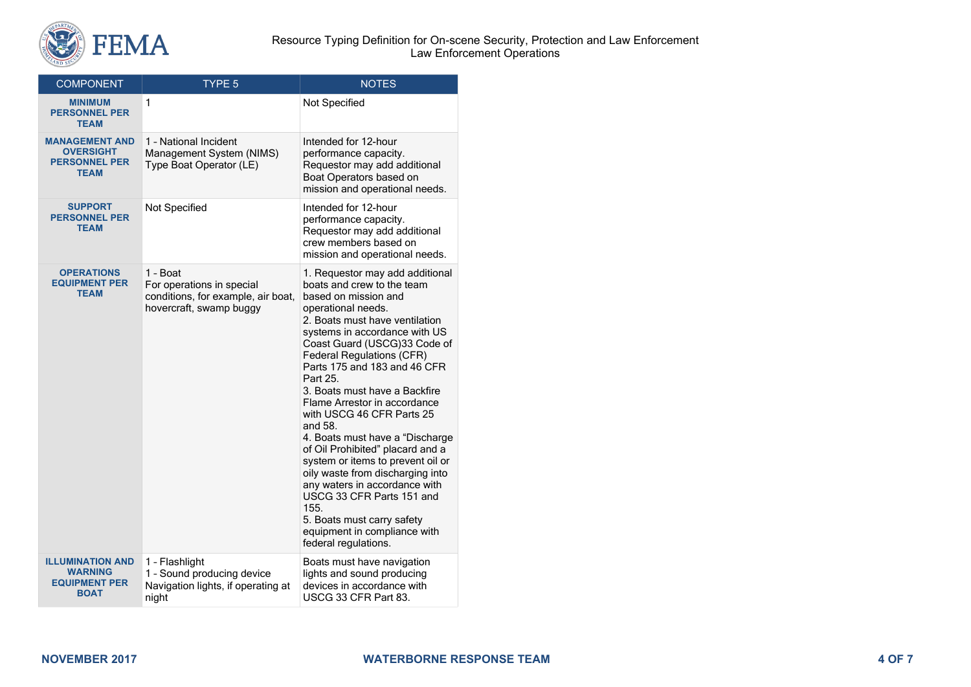

| <b>COMPONENT</b>                                                                 | <b>TYPE 5</b>                                                                                          | <b>NOTES</b>                                                                                                                                                                                                                                                                                                                                                                                                                                                                                                                                                                                                                                                                                                        |
|----------------------------------------------------------------------------------|--------------------------------------------------------------------------------------------------------|---------------------------------------------------------------------------------------------------------------------------------------------------------------------------------------------------------------------------------------------------------------------------------------------------------------------------------------------------------------------------------------------------------------------------------------------------------------------------------------------------------------------------------------------------------------------------------------------------------------------------------------------------------------------------------------------------------------------|
| <b>MINIMUM</b><br><b>PERSONNEL PER</b><br><b>TEAM</b>                            | 1                                                                                                      | Not Specified                                                                                                                                                                                                                                                                                                                                                                                                                                                                                                                                                                                                                                                                                                       |
| <b>MANAGEMENT AND</b><br><b>OVERSIGHT</b><br><b>PERSONNEL PER</b><br><b>TEAM</b> | 1 - National Incident<br>Management System (NIMS)<br>Type Boat Operator (LE)                           | Intended for 12-hour<br>performance capacity.<br>Requestor may add additional<br>Boat Operators based on<br>mission and operational needs.                                                                                                                                                                                                                                                                                                                                                                                                                                                                                                                                                                          |
| <b>SUPPORT</b><br><b>PERSONNEL PER</b><br><b>TEAM</b>                            | Not Specified                                                                                          | Intended for 12-hour<br>performance capacity.<br>Requestor may add additional<br>crew members based on<br>mission and operational needs.                                                                                                                                                                                                                                                                                                                                                                                                                                                                                                                                                                            |
| <b>OPERATIONS</b><br><b>EQUIPMENT PER</b><br><b>TEAM</b>                         | 1 - Boat<br>For operations in special<br>conditions, for example, air boat,<br>hovercraft, swamp buggy | 1. Requestor may add additional<br>boats and crew to the team<br>based on mission and<br>operational needs.<br>2. Boats must have ventilation<br>systems in accordance with US<br>Coast Guard (USCG)33 Code of<br><b>Federal Regulations (CFR)</b><br>Parts 175 and 183 and 46 CFR<br>Part 25.<br>3. Boats must have a Backfire<br>Flame Arrestor in accordance<br>with USCG 46 CFR Parts 25<br>and 58.<br>4. Boats must have a "Discharge<br>of Oil Prohibited" placard and a<br>system or items to prevent oil or<br>oily waste from discharging into<br>any waters in accordance with<br>USCG 33 CFR Parts 151 and<br>155.<br>5. Boats must carry safety<br>equipment in compliance with<br>federal regulations. |
| <b>ILLUMINATION AND</b><br>WARNING<br><b>EQUIPMENT PER</b><br><b>BOAT</b>        | 1 - Flashlight<br>1 - Sound producing device<br>Navigation lights, if operating at<br>night            | Boats must have navigation<br>lights and sound producing<br>devices in accordance with<br>USCG 33 CFR Part 83.                                                                                                                                                                                                                                                                                                                                                                                                                                                                                                                                                                                                      |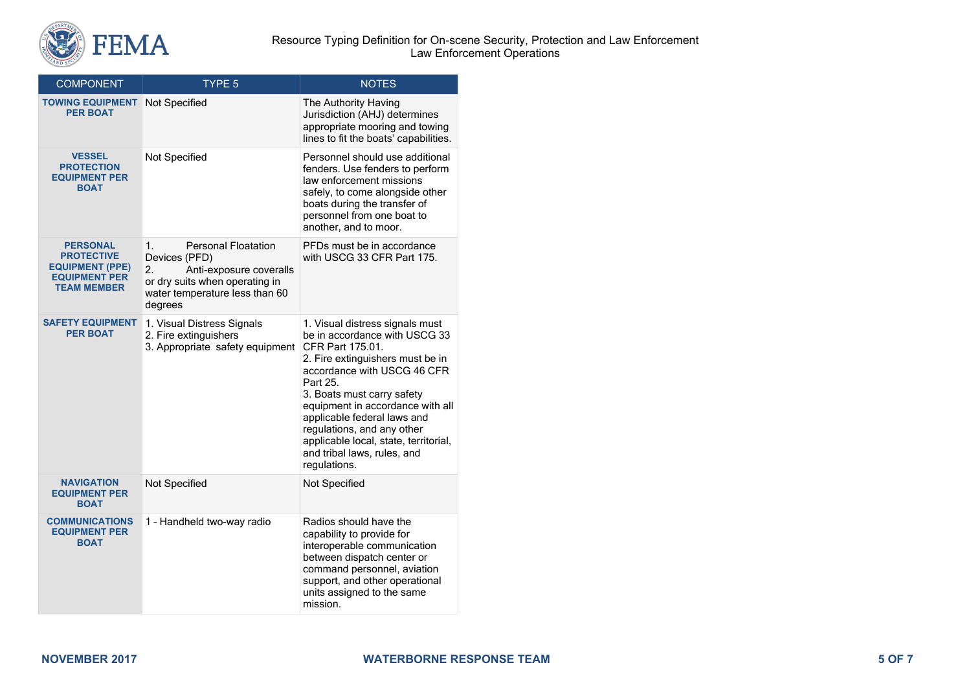

| <b>COMPONENT</b>                                                                                             | TYPE 5                                                                                                                                                            | <b>NOTES</b>                                                                                                                                                                                                                                                                                                                                                                               |  |
|--------------------------------------------------------------------------------------------------------------|-------------------------------------------------------------------------------------------------------------------------------------------------------------------|--------------------------------------------------------------------------------------------------------------------------------------------------------------------------------------------------------------------------------------------------------------------------------------------------------------------------------------------------------------------------------------------|--|
| <b>TOWING EQUIPMENT</b><br><b>PER BOAT</b>                                                                   | Not Specified                                                                                                                                                     | The Authority Having<br>Jurisdiction (AHJ) determines<br>appropriate mooring and towing<br>lines to fit the boats' capabilities.                                                                                                                                                                                                                                                           |  |
| <b>VESSEL</b><br><b>PROTECTION</b><br><b>EQUIPMENT PER</b><br><b>BOAT</b>                                    | Not Specified                                                                                                                                                     | Personnel should use additional<br>fenders. Use fenders to perform<br>law enforcement missions<br>safely, to come alongside other<br>boats during the transfer of<br>personnel from one boat to<br>another, and to moor.                                                                                                                                                                   |  |
| <b>PERSONAL</b><br><b>PROTECTIVE</b><br><b>EQUIPMENT (PPE)</b><br><b>EQUIPMENT PER</b><br><b>TEAM MEMBER</b> | 1.<br><b>Personal Floatation</b><br>Devices (PFD)<br>2.<br>Anti-exposure coveralls<br>or dry suits when operating in<br>water temperature less than 60<br>degrees | PFDs must be in accordance<br>with USCG 33 CFR Part 175.                                                                                                                                                                                                                                                                                                                                   |  |
| <b>SAFETY EQUIPMENT</b><br><b>PER BOAT</b>                                                                   | 1. Visual Distress Signals<br>2. Fire extinguishers<br>3. Appropriate safety equipment                                                                            | 1. Visual distress signals must<br>be in accordance with USCG 33<br>CFR Part 175.01.<br>2. Fire extinguishers must be in<br>accordance with USCG 46 CFR<br>Part 25.<br>3. Boats must carry safety<br>equipment in accordance with all<br>applicable federal laws and<br>regulations, and any other<br>applicable local, state, territorial,<br>and tribal laws, rules, and<br>regulations. |  |
| <b>NAVIGATION</b><br><b>EQUIPMENT PER</b><br><b>BOAT</b>                                                     | Not Specified                                                                                                                                                     | Not Specified                                                                                                                                                                                                                                                                                                                                                                              |  |
| <b>COMMUNICATIONS</b><br><b>EQUIPMENT PER</b><br><b>BOAT</b>                                                 | 1 - Handheld two-way radio                                                                                                                                        | Radios should have the<br>capability to provide for<br>interoperable communication<br>between dispatch center or<br>command personnel, aviation<br>support, and other operational<br>units assigned to the same<br>mission.                                                                                                                                                                |  |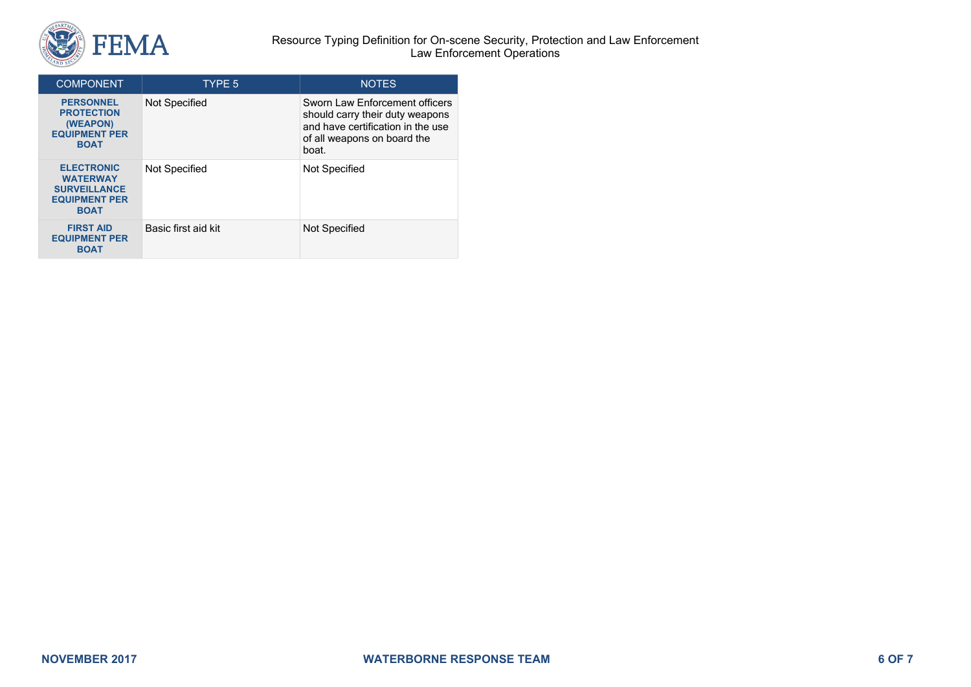

#### Resource Typing Definition for On-scene Security, Protection and Law Enforcement Law Enforcement Operations

| <b>COMPONENT</b>                                                                                   | TYPE 5              | <b>NOTES</b>                                                                                                                                   |
|----------------------------------------------------------------------------------------------------|---------------------|------------------------------------------------------------------------------------------------------------------------------------------------|
| <b>PERSONNEL</b><br><b>PROTECTION</b><br>(WEAPON)<br><b>EQUIPMENT PER</b><br><b>BOAT</b>           | Not Specified       | Sworn Law Enforcement officers<br>should carry their duty weapons<br>and have certification in the use<br>of all weapons on board the<br>boat. |
| <b>ELECTRONIC</b><br><b>WATERWAY</b><br><b>SURVEILLANCE</b><br><b>EQUIPMENT PER</b><br><b>BOAT</b> | Not Specified       | Not Specified                                                                                                                                  |
| <b>FIRST AID</b><br><b>EQUIPMENT PER</b><br><b>BOAT</b>                                            | Basic first aid kit | Not Specified                                                                                                                                  |